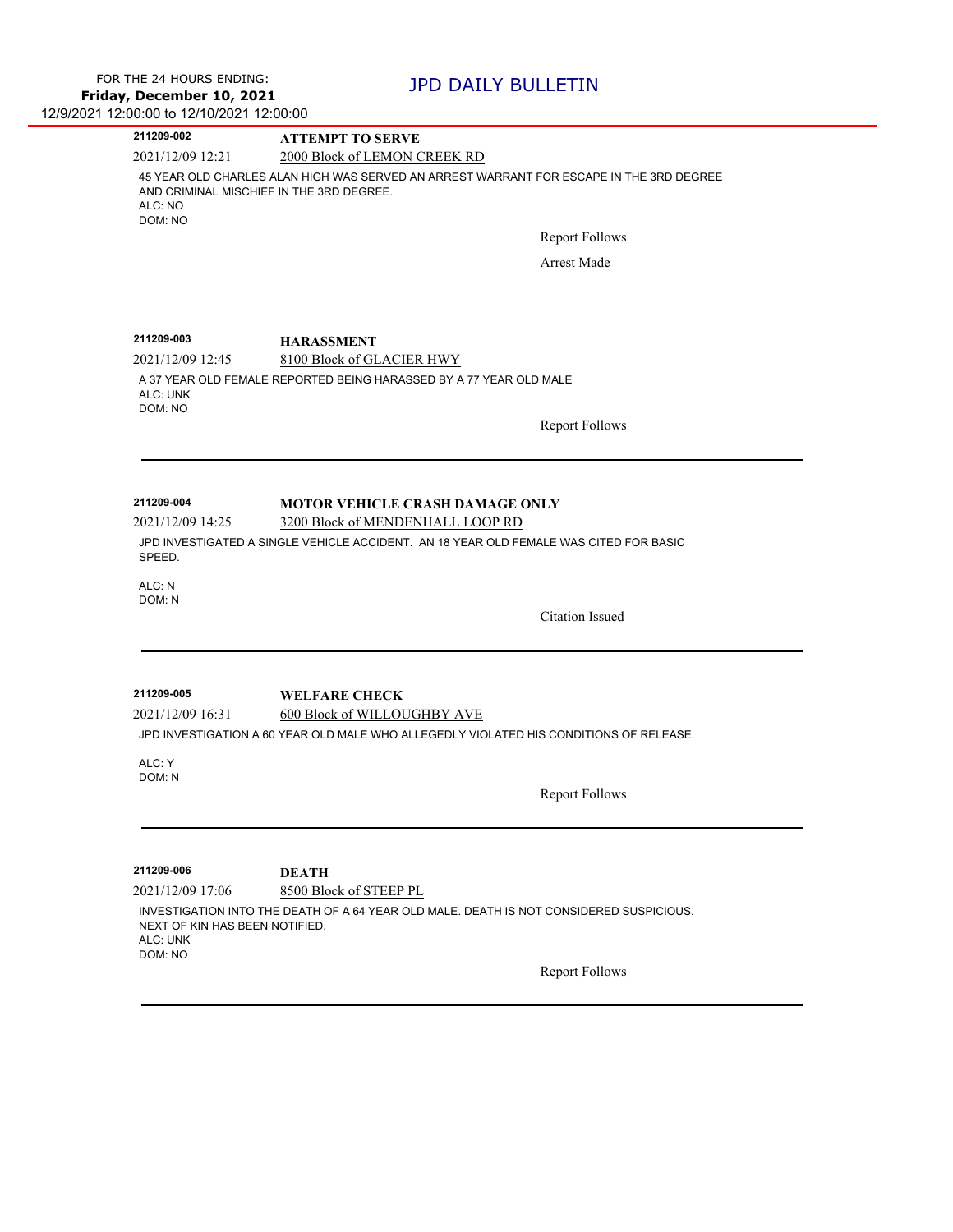| 211209-002                                                     | <b>ATTEMPT TO SERVE</b>                                                                 |  |
|----------------------------------------------------------------|-----------------------------------------------------------------------------------------|--|
| 2021/12/09 12:21                                               | 2000 Block of LEMON CREEK RD                                                            |  |
| AND CRIMINAL MISCHIEF IN THE 3RD DEGREE.<br>ALC: NO<br>DOM: NO | 45 YEAR OLD CHARLES ALAN HIGH WAS SERVED AN ARREST WARRANT FOR ESCAPE IN THE 3RD DEGREE |  |
|                                                                | <b>Report Follows</b>                                                                   |  |
|                                                                | Arrest Made                                                                             |  |
| 211209-003                                                     | <b>HARASSMENT</b>                                                                       |  |
| 2021/12/09 12:45                                               | 8100 Block of GLACIER HWY                                                               |  |
| ALC: UNK<br>DOM: NO                                            | A 37 YEAR OLD FEMALE REPORTED BEING HARASSED BY A 77 YEAR OLD MALE                      |  |
|                                                                | <b>Report Follows</b>                                                                   |  |
| 211209-004                                                     |                                                                                         |  |
| 2021/12/09 14:25                                               | <b>MOTOR VEHICLE CRASH DAMAGE ONLY</b><br>3200 Block of MENDENHALL LOOP RD              |  |
| SPEED.                                                         | JPD INVESTIGATED A SINGLE VEHICLE ACCIDENT. AN 18 YEAR OLD FEMALE WAS CITED FOR BASIC   |  |
| ALC: N<br>DOM: N                                               |                                                                                         |  |
|                                                                | <b>Citation Issued</b>                                                                  |  |
| 211209-005                                                     | <b>WELFARE CHECK</b>                                                                    |  |
| 2021/12/09 16:31                                               | 600 Block of WILLOUGHBY AVE                                                             |  |
|                                                                | JPD INVESTIGATION A 60 YEAR OLD MALE WHO ALLEGEDLY VIOLATED HIS CONDITIONS OF RELEASE.  |  |
| ALC: Y                                                         |                                                                                         |  |
| DOM: N                                                         |                                                                                         |  |
|                                                                | <b>Report Follows</b>                                                                   |  |
| 211209-006                                                     | <b>DEATH</b>                                                                            |  |
| 2021/12/09 17:06                                               | 8500 Block of STEEP PL                                                                  |  |
| NEXT OF KIN HAS BEEN NOTIFIED.<br>ALC: UNK<br>DOM: NO          | INVESTIGATION INTO THE DEATH OF A 64 YEAR OLD MALE. DEATH IS NOT CONSIDERED SUSPICIOUS. |  |
|                                                                | <b>Report Follows</b>                                                                   |  |
|                                                                |                                                                                         |  |